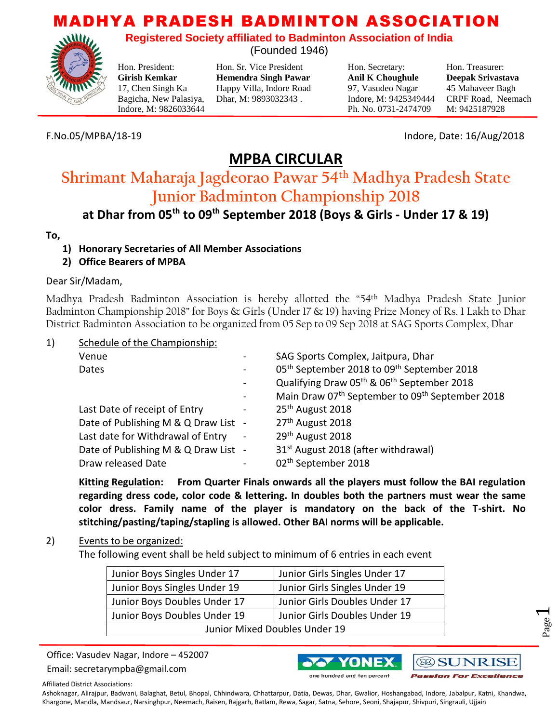**Registered Society affiliated to Badminton Association of India** (Founded 1946)

Hon. President: Hon. Sr. Vice President Hon. Secretary: Hon. Treasurer: **Girish Kemkar Hemendra Singh Pawar Anil K Choughule Deepak Srivastava** 17, Chen Singh Ka Happy Villa, Indore Road 97, Vasudeo Nagar 45 Mahaveer Bagh Bagicha, New Palasiya, Dhar, M: 9893032343 . Indore, M: 9425349444 CRPF Road, Neemach

Indore, M: 9826033644 Ph. No. 0731-2474709 M: 9425187928

F.No.05/MPBA/18-19 Indore, Date: 16/Aug/2018

# **MPBA CIRCULAR**

# **Shrimant Maharaja Jagdeorao Pawar 54th Madhya Pradesh State Junior Badminton Championship 2018**

# **at Dhar from 05th to 09th September 2018 (Boys & Girls - Under 17 & 19)**

### **To,**

- **1) Honorary Secretaries of All Member Associations**
- **2) Office Bearers of MPBA**

### Dear Sir/Madam,

Madhya Pradesh Badminton Association is hereby allotted the "54th Madhya Pradesh State Junior Badminton Championship 2018" for Boys & Girls (Under 17 & 19) having Prize Money of Rs. 1 Lakh to Dhar District Badminton Association to be organized from 05 Sep to 09 Sep 2018 at SAG Sports Complex, Dhar

### 1) Schedule of the Championship:

| Venue                                |                          | SAG Sports Complex, Jaitpura, Dhar                                      |
|--------------------------------------|--------------------------|-------------------------------------------------------------------------|
| Dates                                |                          | 05 <sup>th</sup> September 2018 to 09 <sup>th</sup> September 2018      |
|                                      | $\overline{\phantom{a}}$ | Qualifying Draw 05 <sup>th</sup> & 06 <sup>th</sup> September 2018      |
|                                      |                          | Main Draw 07 <sup>th</sup> September to 09 <sup>th</sup> September 2018 |
| Last Date of receipt of Entry        | -                        | 25 <sup>th</sup> August 2018                                            |
| Date of Publishing M & Q Draw List - |                          | 27 <sup>th</sup> August 2018                                            |
| Last date for Withdrawal of Entry    | $\blacksquare$           | 29 <sup>th</sup> August 2018                                            |
| Date of Publishing M & Q Draw List - |                          | 31 <sup>st</sup> August 2018 (after withdrawal)                         |
| Draw released Date                   |                          | 02 <sup>th</sup> September 2018                                         |

**Kitting Regulation: From Quarter Finals onwards all the players must follow the BAI regulation regarding dress code, color code & lettering. In doubles both the partners must wear the same color dress. Family name of the player is mandatory on the back of the T-shirt. No stitching/pasting/taping/stapling is allowed. Other BAI norms will be applicable.**

### 2) Events to be organized:

The following event shall be held subject to minimum of 6 entries in each event

| Junior Boys Singles Under 17  | Junior Girls Singles Under 17 |  |  |  |
|-------------------------------|-------------------------------|--|--|--|
| Junior Boys Singles Under 19  | Junior Girls Singles Under 19 |  |  |  |
| Junior Boys Doubles Under 17  | Junior Girls Doubles Under 17 |  |  |  |
| Junior Boys Doubles Under 19  | Junior Girls Doubles Under 19 |  |  |  |
| Junior Mixed Doubles Under 19 |                               |  |  |  |

Office: Vasudev Nagar, Indore – 452007

Email: secretarympba@gmail.com





Page  $\overline{\phantom{0}}$ 

Affiliated District Associations: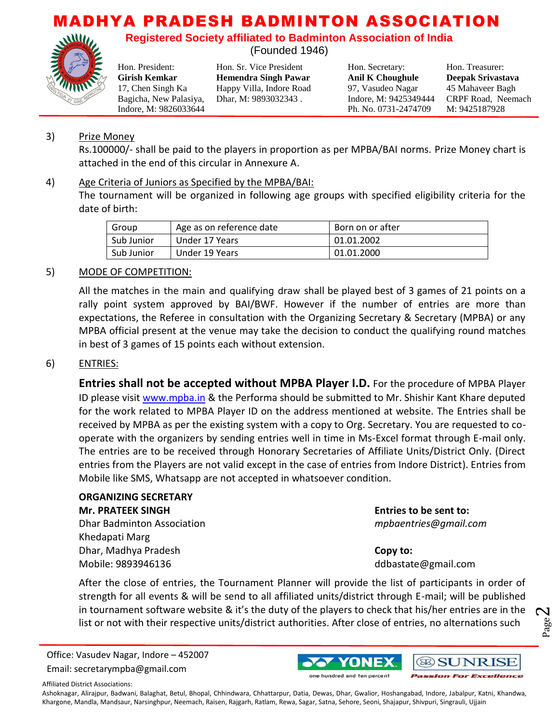**Registered Society affiliated to Badminton Association of India**

(Founded 1946)



**Girish Kemkar Hemendra Singh Pawar Anil K Choughule Deepak Srivastava** 17, Chen Singh Ka Happy Villa, Indore Road 97, Vasudeo Nagar 45 Mahaveer Bagh Bagicha, New Palasiya, Dhar, M: 9893032343 . Indore, M: 9425349444 CRPF Road, Neemach

Hon. President: Hon. Sr. Vice President Hon. Secretary: Hon. Treasurer: Indore, M: 9826033644 Ph. No. 0731-2474709 M: 9425187928

## 3) Prize Money

Rs.100000/- shall be paid to the players in proportion as per MPBA/BAI norms. Prize Money chart is attached in the end of this circular in Annexure A.

### 4) Age Criteria of Juniors as Specified by the MPBA/BAI:

The tournament will be organized in following age groups with specified eligibility criteria for the date of birth:

| Group      | Age as on reference date | Born on or after |
|------------|--------------------------|------------------|
| Sub Junior | Under 17 Years           | 01.01.2002       |
| Sub Junior | Under 19 Years           | 01.01.2000       |

#### 5) MODE OF COMPETITION:

All the matches in the main and qualifying draw shall be played best of 3 games of 21 points on a rally point system approved by BAI/BWF. However if the number of entries are more than expectations, the Referee in consultation with the Organizing Secretary & Secretary (MPBA) or any MPBA official present at the venue may take the decision to conduct the qualifying round matches in best of 3 games of 15 points each without extension.

#### 6) ENTRIES:

**Entries shall not be accepted without MPBA Player I.D.** For the procedure of MPBA Player ID please visit [www.mpba.in](http://www.mpba.in/) & the Performa should be submitted to Mr. Shishir Kant Khare deputed for the work related to MPBA Player ID on the address mentioned at website. The Entries shall be received by MPBA as per the existing system with a copy to Org. Secretary. You are requested to cooperate with the organizers by sending entries well in time in Ms-Excel format through E-mail only. The entries are to be received through Honorary Secretaries of Affiliate Units/District Only. (Direct entries from the Players are not valid except in the case of entries from Indore District). Entries from Mobile like SMS, Whatsapp are not accepted in whatsoever condition.

## **ORGANIZING SECRETARY Mr. PRATEEK SINGH Entries to be sent to:** Dhar Badminton Association *mpbaentries@gmail.com* Khedapati Marg Dhar, Madhya Pradesh **Copy to:**  Mobile: 9893946136 ddbastate@gmail.com

Page  $\boldsymbol{\sim}$ 

After the close of entries, the Tournament Planner will provide the list of participants in order of strength for all events & will be send to all affiliated units/district through E-mail; will be published in tournament software website & it's the duty of the players to check that his/her entries are in the list or not with their respective units/district authorities. After close of entries, no alternations such

Office: Vasudev Nagar, Indore – 452007 Email: secretarympba@gmail.com



Affiliated District Associations: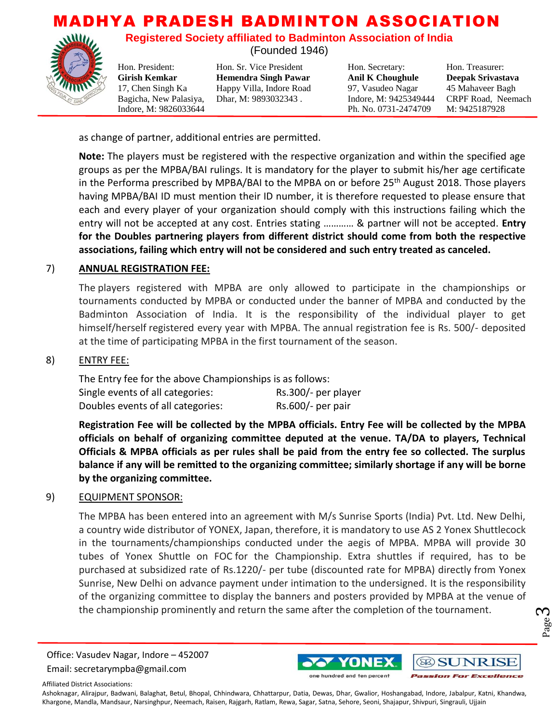**Registered Society affiliated to Badminton Association of India**

(Founded 1946)

Hon. President: Hon. Sr. Vice President Hon. Secretary: Hon. Treasurer: **Girish Kemkar Hemendra Singh Pawar Anil K Choughule Deepak Srivastava** 17, Chen Singh Ka Happy Villa, Indore Road 97, Vasudeo Nagar 45 Mahaveer Bagh Bagicha, New Palasiya, Dhar, M: 9893032343 . Indore, M: 9425349444 CRPF Road, Neemach

Indore, M: 9826033644 Ph. No. 0731-2474709 M: 9425187928

as change of partner, additional entries are permitted.

**Note:** The players must be registered with the respective organization and within the specified age groups as per the MPBA/BAI rulings. It is mandatory for the player to submit his/her age certificate in the Performa prescribed by MPBA/BAI to the MPBA on or before 25<sup>th</sup> August 2018. Those players having MPBA/BAI ID must mention their ID number, it is therefore requested to please ensure that each and every player of your organization should comply with this instructions failing which the entry will not be accepted at any cost. Entries stating ………… & partner will not be accepted. **Entry for the Doubles partnering players from different district should come from both the respective associations, failing which entry will not be considered and such entry treated as canceled.**

#### 7) **ANNUAL REGISTRATION FEE:**

The players registered with MPBA are only allowed to participate in the championships or tournaments conducted by MPBA or conducted under the banner of MPBA and conducted by the Badminton Association of India. It is the responsibility of the individual player to get himself/herself registered every year with MPBA. The annual registration fee is Rs. 500/- deposited at the time of participating MPBA in the first tournament of the season.

#### 8) ENTRY FEE:

The Entry fee for the above Championships is as follows: Single events of all categories: Rs.300/- per player Doubles events of all categories: Rs.600/- per pair

**Registration Fee will be collected by the MPBA officials. Entry Fee will be collected by the MPBA officials on behalf of organizing committee deputed at the venue. TA/DA to players, Technical Officials & MPBA officials as per rules shall be paid from the entry fee so collected. The surplus balance if any will be remitted to the organizing committee; similarly shortage if any will be borne by the organizing committee.** 

#### 9) EQUIPMENT SPONSOR:

The MPBA has been entered into an agreement with M/s Sunrise Sports (India) Pvt. Ltd. New Delhi, a country wide distributor of YONEX, Japan, therefore, it is mandatory to use AS 2 Yonex Shuttlecock in the tournaments/championships conducted under the aegis of MPBA. MPBA will provide 30 tubes of Yonex Shuttle on FOC for the Championship. Extra shuttles if required, has to be purchased at subsidized rate of Rs.1220/- per tube (discounted rate for MPBA) directly from Yonex Sunrise, New Delhi on advance payment under intimation to the undersigned. It is the responsibility of the organizing committee to display the banners and posters provided by MPBA at the venue of the championship prominently and return the same after the completion of the tournament.

Office: Vasudev Nagar, Indore – 452007 Email: secretarympba@gmail.com



Page ო

Affiliated District Associations: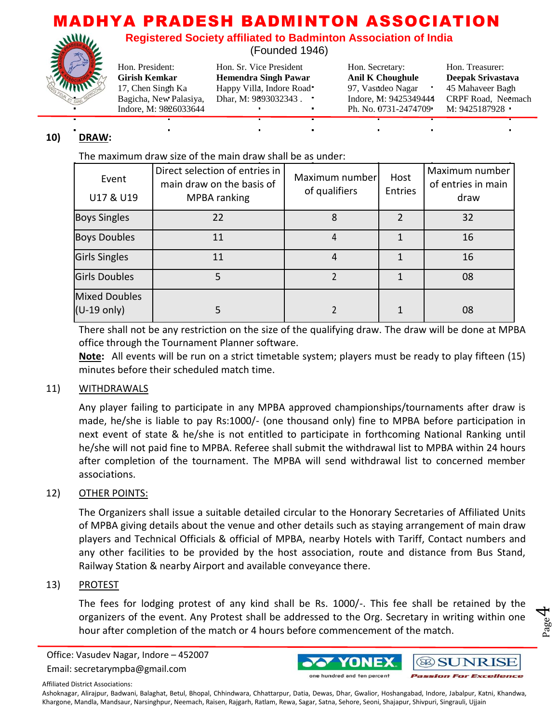**Registered Society affiliated to Badminton Association of India**

(Founded 1946)



Hon. President: Hon. Sr. Vice President Hon. Secretary: Hon. Treasurer:

**Girish Kemkar Hemendra Singh Pawar Anil K Choughule Deepak Srivastava** 17, Chen Singh Ka Happy Villa, Indore Road 97, Vasudeo Nagar  $\cdot$  45 Mahaveer Bagh Bagicha, New Palasiya, Dhar, M: 9893032343 . Indore, M: 9425349444 CRPF Road, Neemach

Indore, M: 9826033644 **Ph. No. 0731-2474709** M: 9425187928 **Ph. No. 0731-2474709** 

# **10) DRAW:**

The maximum draw size of the main draw shall be as under:

| Event<br>U17 & U19                            | Direct selection of entries in<br>main draw on the basis of<br>MPBA ranking | Maximum number<br>of qualifiers | Host<br>Entries | Maximum number<br>of entries in main<br>draw |
|-----------------------------------------------|-----------------------------------------------------------------------------|---------------------------------|-----------------|----------------------------------------------|
| <b>Boys Singles</b>                           | 22                                                                          | 8                               |                 | 32                                           |
| <b>Boys Doubles</b>                           | 11                                                                          | 4                               |                 | 16                                           |
| <b>Girls Singles</b>                          | 11                                                                          |                                 |                 | 16                                           |
| <b>Girls Doubles</b>                          | 5                                                                           |                                 |                 | 08                                           |
| <b>Mixed Doubles</b><br>$(U-19 \text{ only})$ |                                                                             |                                 |                 | 08                                           |

There shall not be any restriction on the size of the qualifying draw. The draw will be done at MPBA office through the Tournament Planner software.

**Note:** All events will be run on a strict timetable system; players must be ready to play fifteen (15) minutes before their scheduled match time.

### 11) WITHDRAWALS

Any player failing to participate in any MPBA approved championships/tournaments after draw is made, he/she is liable to pay Rs:1000/- (one thousand only) fine to MPBA before participation in next event of state & he/she is not entitled to participate in forthcoming National Ranking until he/she will not paid fine to MPBA. Referee shall submit the withdrawal list to MPBA within 24 hours after completion of the tournament. The MPBA will send withdrawal list to concerned member associations.

### 12) OTHER POINTS:

The Organizers shall issue a suitable detailed circular to the Honorary Secretaries of Affiliated Units of MPBA giving details about the venue and other details such as staying arrangement of main draw players and Technical Officials & official of MPBA, nearby Hotels with Tariff, Contact numbers and any other facilities to be provided by the host association, route and distance from Bus Stand, Railway Station & nearby Airport and available conveyance there.

### 13) PROTEST

The fees for lodging protest of any kind shall be Rs. 1000/-. This fee shall be retained by the organizers of the event. Any Protest shall be addressed to the Org. Secretary in writing within one hour after completion of the match or 4 hours before commencement of the match.

Office: Vasudev Nagar, Indore – 452007

Email: secretarympba@gmail.com



Page 4

Affiliated District Associations: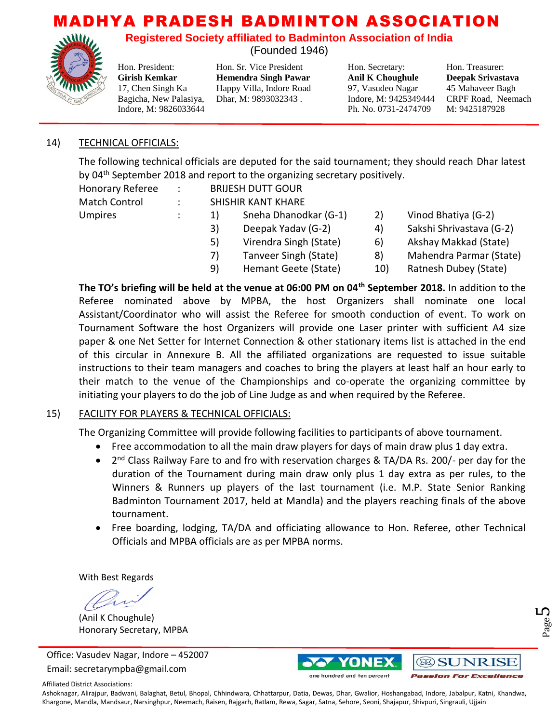**Registered Society affiliated to Badminton Association of India**

(Founded 1946)



Hon. President: Hon. Sr. Vice President Hon. Secretary: Hon. Treasurer: **Girish Kemkar Hemendra Singh Pawar Anil K Choughule Deepak Srivastava** 17, Chen Singh Ka Happy Villa, Indore Road 97, Vasudeo Nagar 45 Mahaveer Bagh Bagicha, New Palasiya, Dhar, M: 9893032343 . Indore, M: 9425349444 CRPF Road, Neemach

Indore, M: 9826033644 Ph. No. 0731-2474709 M: 9425187928

### 14) TECHNICAL OFFICIALS:

The following technical officials are deputed for the said tournament; they should reach Dhar latest by 04<sup>th</sup> September 2018 and report to the organizing secretary positively.

| Honorary Referee     | $\sim 100$ | <b>BRIJESH DUTT GOUR</b> |                        |    |                          |
|----------------------|------------|--------------------------|------------------------|----|--------------------------|
| <b>Match Control</b> |            | SHISHIR KANT KHARE       |                        |    |                          |
| <b>Umpires</b>       |            | 1)                       | Sneha Dhanodkar (G-1)  | 2) | Vinod Bhatiya (G-2)      |
|                      |            | 3)                       | Deepak Yadav (G-2)     | 4) | Sakshi Shrivastava (G-2) |
|                      |            | 5)                       | Virendra Singh (State) | 6) | Akshay Makkad (State)    |
|                      |            | 7)                       | Tanveer Singh (State)  | 8) | Mahendra Parmar (State)  |
|                      |            |                          |                        |    |                          |

9) Hemant Geete (State) 10) Ratnesh Dubey (State)

**The TO's briefing will be held at the venue at 06:00 PM on 04th September 2018.** In addition to the Referee nominated above by MPBA, the host Organizers shall nominate one local Assistant/Coordinator who will assist the Referee for smooth conduction of event. To work on Tournament Software the host Organizers will provide one Laser printer with sufficient A4 size paper & one Net Setter for Internet Connection & other stationary items list is attached in the end of this circular in Annexure B. All the affiliated organizations are requested to issue suitable instructions to their team managers and coaches to bring the players at least half an hour early to their match to the venue of the Championships and co-operate the organizing committee by initiating your players to do the job of Line Judge as and when required by the Referee.

# 15) FACILITY FOR PLAYERS & TECHNICAL OFFICIALS:

The Organizing Committee will provide following facilities to participants of above tournament.

- Free accommodation to all the main draw players for days of main draw plus 1 day extra.
- 2<sup>nd</sup> Class Railway Fare to and fro with reservation charges & TA/DA Rs. 200/- per day for the duration of the Tournament during main draw only plus 1 day extra as per rules, to the Winners & Runners up players of the last tournament (i.e. M.P. State Senior Ranking Badminton Tournament 2017, held at Mandla) and the players reaching finals of the above tournament.
- Free boarding, lodging, TA/DA and officiating allowance to Hon. Referee, other Technical Officials and MPBA officials are as per MPBA norms.

With Best Regards

(Anil K Choughule) Honorary Secretary, MPBA

Office: Vasudev Nagar, Indore – 452007 Email: secretarympba@gmail.com



Page ഥ

Affiliated District Associations: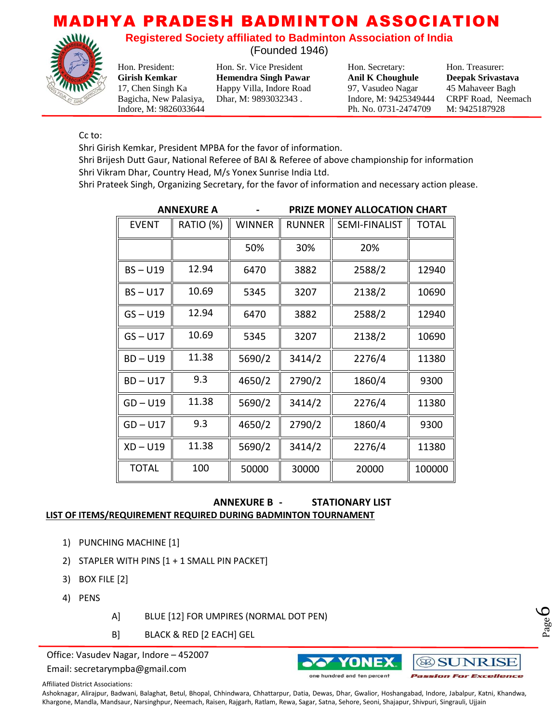**Registered Society affiliated to Badminton Association of India**

(Founded 1946)

Indore, M: 9826033644 Ph. No. 0731-2474709 M: 9425187928

Hon. President: Hon. Sr. Vice President Hon. Secretary: Hon. Treasurer: **Girish Kemkar Hemendra Singh Pawar Anil K Choughule Deepak Srivastava** 17, Chen Singh Ka Happy Villa, Indore Road 97, Vasudeo Nagar 45 Mahaveer Bagh Bagicha, New Palasiya, Dhar, M: 9893032343 . Indore, M: 9425349444 CRPF Road, Neemach

Cc to:

Shri Girish Kemkar, President MPBA for the favor of information.

Shri Brijesh Dutt Gaur, National Referee of BAI & Referee of above championship for information Shri Vikram Dhar, Country Head, M/s Yonex Sunrise India Ltd.

Shri Prateek Singh, Organizing Secretary, for the favor of information and necessary action please.

|              | <b>ANNEXURE A</b> | PRIZE MONEY ALLOCATION CHART |               |                      |              |
|--------------|-------------------|------------------------------|---------------|----------------------|--------------|
| <b>EVENT</b> | RATIO (%)         | <b>WINNER</b>                | <b>RUNNER</b> | <b>SEMI-FINALIST</b> | <b>TOTAL</b> |
|              |                   | 50%                          | 30%           | 20%                  |              |
| $BS - U19$   | 12.94             | 6470                         | 3882          | 2588/2               | 12940        |
| $BS - U17$   | 10.69             | 5345                         | 3207          | 2138/2               | 10690        |
| $GS - U19$   | 12.94             | 6470                         | 3882          | 2588/2               | 12940        |
| $GS - U17$   | 10.69             | 5345                         | 3207          | 2138/2               | 10690        |
| $BD - U19$   | 11.38             | 5690/2                       | 3414/2        | 2276/4               | 11380        |
| $BD - U17$   | 9.3               | 4650/2                       | 2790/2        | 1860/4               | 9300         |
| $GD - U19$   | 11.38             | 5690/2                       | 3414/2        | 2276/4               | 11380        |
| $GD - U17$   | 9.3               | 4650/2                       | 2790/2        | 1860/4               | 9300         |
| $XD - U19$   | 11.38             | 5690/2                       | 3414/2        | 2276/4               | 11380        |
| <b>TOTAL</b> | 100               | 50000                        | 30000         | 20000                | 100000       |

#### **ANNEXURE B - STATIONARY LIST LIST OF ITEMS/REQUIREMENT REQUIRED DURING BADMINTON TOURNAMENT**

- 1) PUNCHING MACHINE [1]
- 2) STAPLER WITH PINS [1 + 1 SMALL PIN PACKET]
- 3) BOX FILE [2]
- 4) PENS
- A] BLUE [12] FOR UMPIRES (NORMAL DOT PEN)
- B] BLACK & RED [2 EACH] GEL

Office: Vasudev Nagar, Indore – 452007

Email: secretarympba@gmail.com





6

Affiliated District Associations: